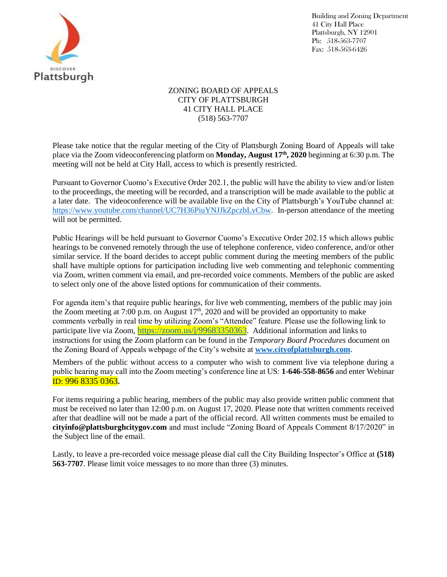

Building and Zoning Department 41 City Hall Place Plattsburgh, NY 12901 Ph: 518-563-7707 Fax: 518-563-6426

## ZONING BOARD OF APPEALS CITY OF PLATTSBURGH 41 CITY HALL PLACE (518) 563-7707

Please take notice that the regular meeting of the City of Plattsburgh Zoning Board of Appeals will take place via the Zoom videoconferencing platform on **Monday, August 17th , 2020** beginning at 6:30 p.m. The meeting will not be held at City Hall, access to which is presently restricted.

Pursuant to Governor Cuomo's Executive Order 202.1, the public will have the ability to view and/or listen to the proceedings, the meeting will be recorded, and a transcription will be made available to the public at a later date. The videoconference will be available live on the City of Plattsburgh's YouTube channel at: [https://www.youtube.com/channel/UC7H36PiuYNJJkZpczbLvCbw.](https://www.youtube.com/channel/UC7H36PiuYNJJkZpczbLvCbw) In-person attendance of the meeting will not be permitted.

Public Hearings will be held pursuant to Governor Cuomo's Executive Order 202.15 which allows public hearings to be convened remotely through the use of telephone conference, video conference, and/or other similar service. If the board decides to accept public comment during the meeting members of the public shall have multiple options for participation including live web commenting and telephonic commenting via Zoom, written comment via email, and pre-recorded voice comments. Members of the public are asked to select only one of the above listed options for communication of their comments.

For agenda item's that require public hearings, for live web commenting, members of the public may join the Zoom meeting at 7:00 p.m. on August  $17<sup>th</sup>$ , 2020 and will be provided an opportunity to make comments verbally in real time by utilizing Zoom's "Attendee" feature. Please use the following link to participate live via Zoom, <https://zoom.us/j/99683350363>. Additional information and links to instructions for using the Zoom platform can be found in the *Temporary Board Procedures* document on the Zoning Board of Appeals webpage of the City's website at **[www.cityofplattsburgh.com](http://www.cityofplattsburgh.com/)**.

Members of the public without access to a computer who wish to comment live via telephone during a public hearing may call into the Zoom meeting's conference line at US: **1-646-558-8656** and enter Webinar ID: 996 8335 0363**.**

For items requiring a public hearing, members of the public may also provide written public comment that must be received no later than 12:00 p.m. on August 17, 2020. Please note that written comments received after that deadline will not be made a part of the official record. All written comments must be emailed to **cityinfo@plattsburghcitygov.com** and must include "Zoning Board of Appeals Comment 8/17/2020" in the Subject line of the email.

Lastly, to leave a pre-recorded voice message please dial call the City Building Inspector's Office at **(518) 563-7707**. Please limit voice messages to no more than three (3) minutes.